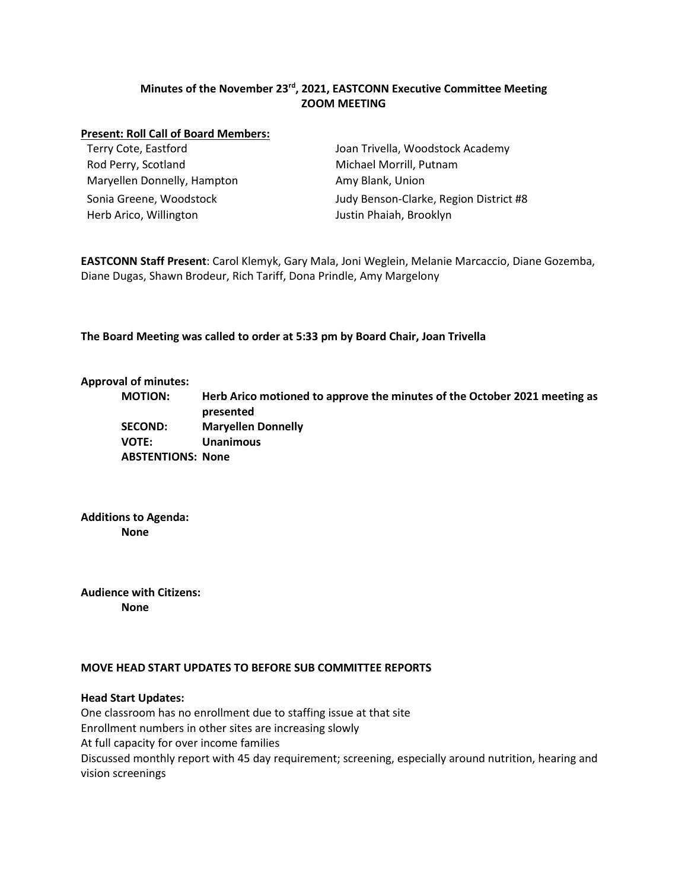# **Minutes of the November 23rd, 2021, EASTCONN Executive Committee Meeting ZOOM MEETING**

#### **Present: Roll Call of Board Members:**

Rod Perry, Scotland Michael Morrill, Putnam Maryellen Donnelly, Hampton Amy Blank, Union Herb Arico, Willington **Matter and Arico and Arico Arico Arico Arico Arico Arico Arico Arico Arico Arico Arico Arico Arico Arico Arico Arico Arico Arico Arico Arico Arico Arico Arico Arico Arico Arico Arico Arico Arico Ari** 

Terry Cote, Eastford Joan Trivella, Woodstock Academy Sonia Greene, Woodstock Judy Benson-Clarke, Region District #8

**EASTCONN Staff Present**: Carol Klemyk, Gary Mala, Joni Weglein, Melanie Marcaccio, Diane Gozemba, Diane Dugas, Shawn Brodeur, Rich Tariff, Dona Prindle, Amy Margelony

**The Board Meeting was called to order at 5:33 pm by Board Chair, Joan Trivella**

#### **Approval of minutes:**

**MOTION: Herb Arico motioned to approve the minutes of the October 2021 meeting as presented SECOND: Maryellen Donnelly VOTE: Unanimous ABSTENTIONS: None**

**Additions to Agenda: None**

**Audience with Citizens: None**

### **MOVE HEAD START UPDATES TO BEFORE SUB COMMITTEE REPORTS**

### **Head Start Updates:**

One classroom has no enrollment due to staffing issue at that site Enrollment numbers in other sites are increasing slowly At full capacity for over income families Discussed monthly report with 45 day requirement; screening, especially around nutrition, hearing and vision screenings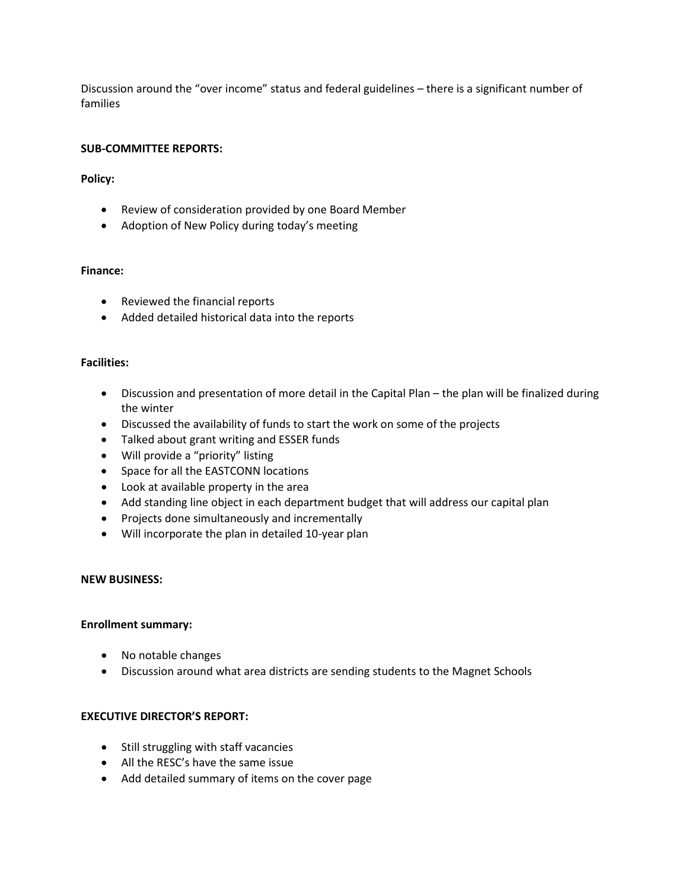Discussion around the "over income" status and federal guidelines – there is a significant number of families

## **SUB-COMMITTEE REPORTS:**

**Policy:** 

- Review of consideration provided by one Board Member
- Adoption of New Policy during today's meeting

## **Finance:**

- Reviewed the financial reports
- Added detailed historical data into the reports

### **Facilities:**

- Discussion and presentation of more detail in the Capital Plan the plan will be finalized during the winter
- Discussed the availability of funds to start the work on some of the projects
- Talked about grant writing and ESSER funds
- Will provide a "priority" listing
- Space for all the EASTCONN locations
- Look at available property in the area
- Add standing line object in each department budget that will address our capital plan
- Projects done simultaneously and incrementally
- Will incorporate the plan in detailed 10-year plan

#### **NEW BUSINESS:**

#### **Enrollment summary:**

- No notable changes
- Discussion around what area districts are sending students to the Magnet Schools

## **EXECUTIVE DIRECTOR'S REPORT:**

- Still struggling with staff vacancies
- All the RESC's have the same issue
- Add detailed summary of items on the cover page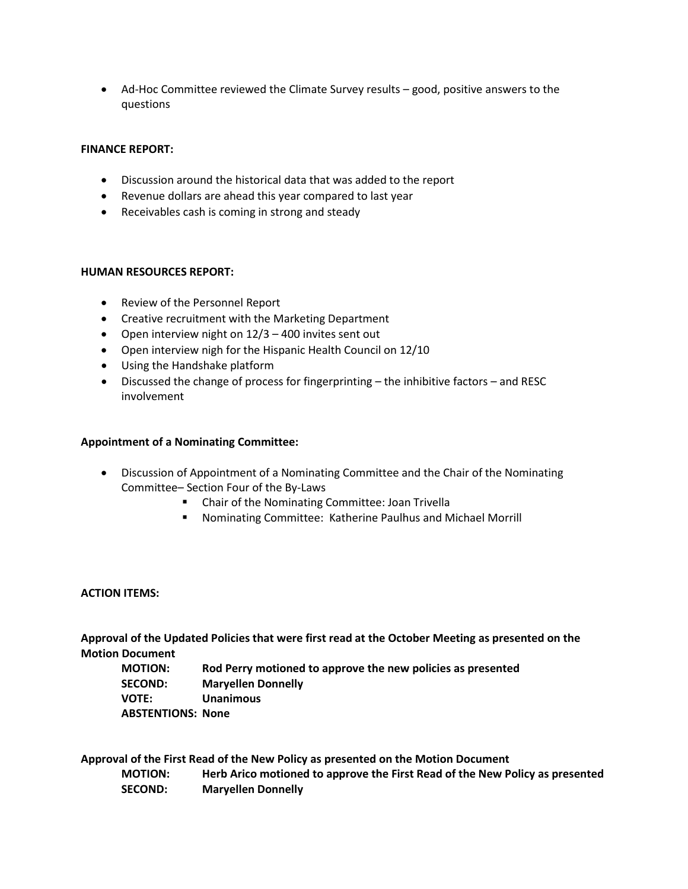• Ad-Hoc Committee reviewed the Climate Survey results – good, positive answers to the questions

## **FINANCE REPORT:**

- Discussion around the historical data that was added to the report
- Revenue dollars are ahead this year compared to last year
- Receivables cash is coming in strong and steady

## **HUMAN RESOURCES REPORT:**

- Review of the Personnel Report
- Creative recruitment with the Marketing Department
- Open interview night on 12/3 400 invites sent out
- Open interview nigh for the Hispanic Health Council on 12/10
- Using the Handshake platform
- Discussed the change of process for fingerprinting the inhibitive factors and RESC involvement

## **Appointment of a Nominating Committee:**

- Discussion of Appointment of a Nominating Committee and the Chair of the Nominating Committee– Section Four of the By-Laws
	- Chair of the Nominating Committee: Joan Trivella
	- Nominating Committee: Katherine Paulhus and Michael Morrill

#### **ACTION ITEMS:**

**Approval of the Updated Policies that were first read at the October Meeting as presented on the Motion Document**

**MOTION: Rod Perry motioned to approve the new policies as presented SECOND: Maryellen Donnelly VOTE: Unanimous ABSTENTIONS: None**

**Approval of the First Read of the New Policy as presented on the Motion Document MOTION: Herb Arico motioned to approve the First Read of the New Policy as presented SECOND: Maryellen Donnelly**